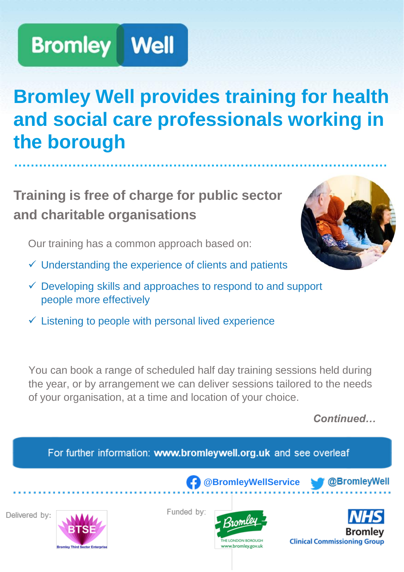### **Bromley Well provides training for health and social care professionals working in the borough**

**·························································································**

### **Training is free of charge for public sector and charitable organisations**

Our training has a common approach based on:

- $\checkmark$  Understanding the experience of clients and patients
- $\checkmark$  Developing skills and approaches to respond to and support people more effectively
- $\checkmark$  Listening to people with personal lived experience

You can book a range of scheduled half day training sessions held during the year, or by arrangement we can deliver sessions tailored to the needs of your organisation, at a time and location of your choice.

*Continued…*



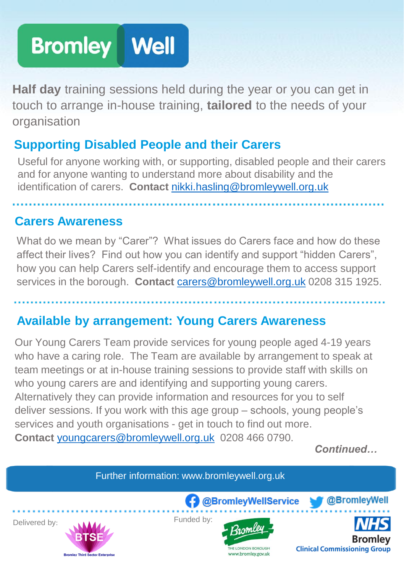**Half day** training sessions held during the year or you can get in touch to arrange in-house training, **tailored** to the needs of your organisation

#### **Supporting Disabled People and their Carers**

Useful for anyone working with, or supporting, disabled people and their carers and for anyone wanting to understand more about disability and the identification of carers. **Contact** [nikki.hasling@bromleywell.org.uk](mailto:nikki.hasling@bromleywell.org.uk) 

#### **Carers Awareness**

What do we mean by "Carer"? What issues do Carers face and how do these affect their lives? Find out how you can identify and support "hidden Carers", how you can help Carers self-identify and encourage them to access support services in the borough. **Contact** [carers@bromleywell.org.uk](mailto:carers@bromleywell.org.uk) 0208 315 1925.

#### **Available by arrangement: Young Carers Awareness**

Our Young Carers Team provide services for young people aged 4-19 years who have a caring role. The Team are available by arrangement to speak at team meetings or at in-house training sessions to provide staff with skills on who young carers are and identifying and supporting young carers. Alternatively they can provide information and resources for you to self deliver sessions. If you work with this age group – schools, young people's services and youth organisations - get in touch to find out more. **Contact** [youngcarers@bromleywell.org.uk](mailto:youngcarers@bromleywell.org.uk) 0208 466 0790.

*Continued…*

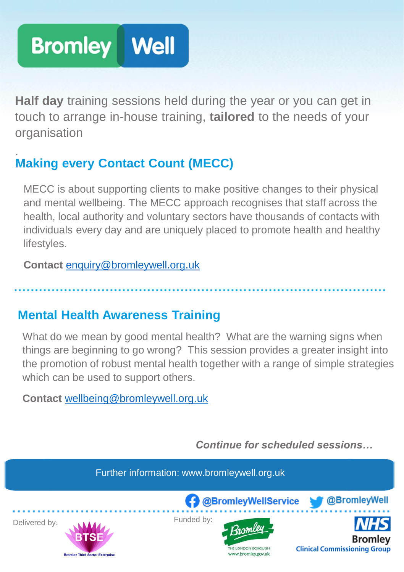**Half day** training sessions held during the year or you can get in touch to arrange in-house training, **tailored** to the needs of your organisation

### :**Making every Contact Count (MECC)**

MECC is about supporting clients to make positive changes to their physical and mental wellbeing. The MECC approach recognises that staff across the health, local authority and voluntary sectors have thousands of contacts with individuals every day and are uniquely placed to promote health and healthy lifestyles.

**Contact** [enquiry@bromleywell.org.uk](mailto:enquiry@bromleywell.org.uk)

#### **Mental Health Awareness Training**

What do we mean by good mental health? What are the warning signs when things are beginning to go wrong? This session provides a greater insight into the promotion of robust mental health together with a range of simple strategies which can be used to support others.

**Contact** [wellbeing@bromleywell.org.uk](mailto:wellbeing@bromleywell.org.uk)

*Continue for scheduled sessions…*